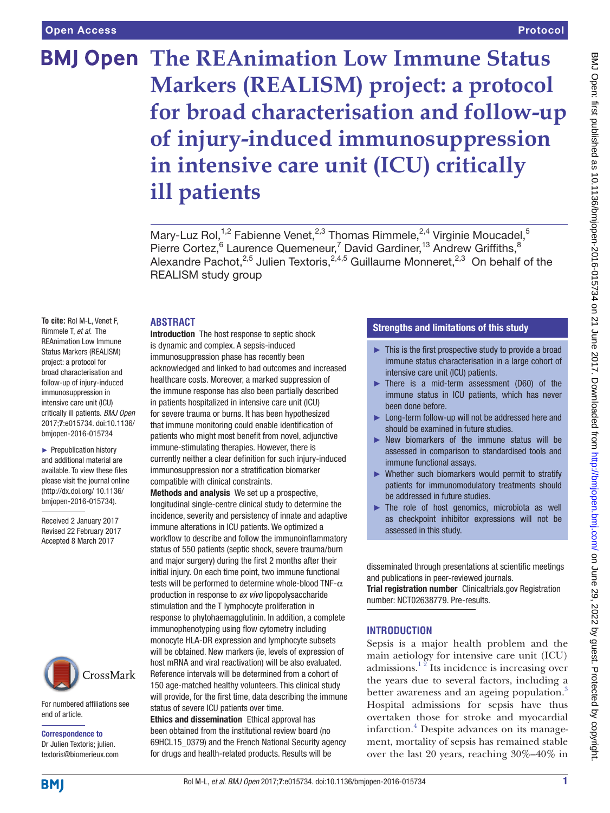# Protocol

# **BMJ Open The REAnimation Low Immune Status Markers (REALISM) project: a protocol for broad characterisation and follow-up of injury-induced immunosuppression in intensive care unit (ICU) critically ill patients**

Mary-Luz Rol,<sup>1,2</sup> Fabienne Venet,<sup>2,3</sup> Thomas Rimmele,<sup>2,4</sup> Virginie Moucadel,<sup>5</sup> Pierre Cortez,<sup>6</sup> Laurence Quemeneur,<sup>7</sup> David Gardiner,<sup>13</sup> Andrew Griffiths,<sup>8</sup> Alexandre Pachot,<sup>2,5</sup> Julien Textoris,<sup>2,4,5</sup> Guillaume Monneret,<sup>2,3</sup> On behalf of the REALISM study group

#### **Abstract**

**To cite:** Rol M-L, Venet F, Rimmele T, *et al*. The REAnimation Low Immune Status Markers (REALISM) project: a protocol for broad characterisation and follow-up of injury-induced immunosuppression in intensive care unit (ICU) critically ill patients. *BMJ Open* 2017;7:e015734. doi:10.1136/ bmjopen-2016-015734

► Prepublication history and additional material are available. To view these files please visit the journal online [\(http://dx.doi.org/ 10.1136/](http://dx.doi.org/ 10.1136/bmjopen-2016-015734) [bmjopen-2016-015734](http://dx.doi.org/ 10.1136/bmjopen-2016-015734)).

Received 2 January 2017 Revised 22 February 2017 Accepted 8 March 2017



For numbered affiliations see end of article.

Correspondence to Dr Julien Textoris; julien. textoris@biomerieux.com

Introduction The host response to septic shock is dynamic and complex. A sepsis-induced immunosuppression phase has recently been acknowledged and linked to bad outcomes and increased healthcare costs. Moreover, a marked suppression of the immune response has also been partially described in patients hospitalized in intensive care unit (ICU) for severe trauma or burns. It has been hypothesized that immune monitoring could enable identification of patients who might most benefit from novel, adjunctive immune-stimulating therapies. However, there is currently neither a clear definition for such injury-induced immunosuppression nor a stratification biomarker compatible with clinical constraints.

Methods and analysis We set up a prospective, longitudinal single-centre clinical study to determine the incidence, severity and persistency of innate and adaptive immune alterations in ICU patients. We optimized a workflow to describe and follow the immunoinflammatory status of 550 patients (septic shock, severe trauma/burn and major surgery) during the first 2 months after their initial injury. On each time point, two immune functional tests will be performed to determine whole-blood TNF- $\alpha$ production in response to *ex vivo* lipopolysaccharide stimulation and the T lymphocyte proliferation in response to phytohaemagglutinin. In addition, a complete immunophenotyping using flow cytometry including monocyte HLA-DR expression and lymphocyte subsets will be obtained. New markers (ie, levels of expression of host mRNA and viral reactivation) will be also evaluated. Reference intervals will be determined from a cohort of 150 age-matched healthy volunteers. This clinical study

will provide, for the first time, data describing the immune status of severe ICU patients over time.

Ethics and dissemination Ethical approval has been obtained from the institutional review board (no 69HCL15\_0379) and the French National Security agency for drugs and health-related products. Results will be

# Strengths and limitations of this study

- $\blacktriangleright$  This is the first prospective study to provide a broad immune status characterisation in a large cohort of intensive care unit (ICU) patients.
- ► There is a mid-term assessment (D60) of the immune status in ICU patients, which has never been done before.
- ► Long-term follow-up will not be addressed here and should be examined in future studies.
- ► New biomarkers of the immune status will be assessed in comparison to standardised tools and immune functional assays.
- ► Whether such biomarkers would permit to stratify patients for immunomodulatory treatments should be addressed in future studies.
- ► The role of host genomics, microbiota as well as checkpoint inhibitor expressions will not be assessed in this study.

disseminated through presentations at scientific meetings and publications in peer-reviewed journals.

Trial registration number Clinicaltrials.gov Registration number: NCT02638779. Pre-results.

# **Introduction**

Sepsis is a major health problem and the main aetiology for intensive care unit (ICU) admissions. $1<sup>2</sup>$  Its incidence is increasing over the years due to several factors, including a better awareness and an ageing population.<sup>3</sup> Hospital admissions for sepsis have thus overtaken those for stroke and myocardial infarction.[4](#page-8-2) Despite advances on its management, mortality of sepsis has remained stable over the last 20 years, reaching 30%–40% in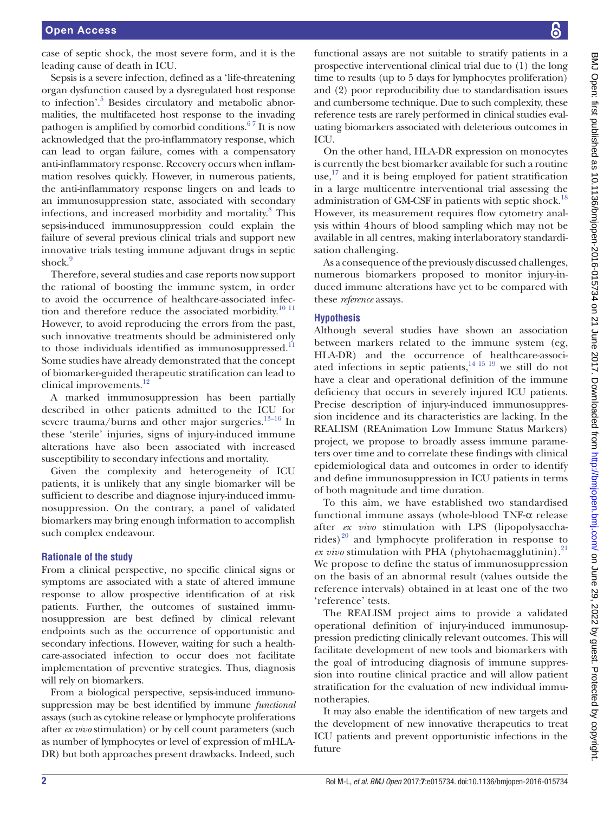case of septic shock, the most severe form, and it is the leading cause of death in ICU.

Sepsis is a severe infection, defined as a 'life-threatening organ dysfunction caused by a dysregulated host response to infection'.<sup>[5](#page-8-3)</sup> Besides circulatory and metabolic abnormalities, the multifaceted host response to the invading pathogen is amplified by comorbid conditions.<sup>67</sup> It is now acknowledged that the pro-inflammatory response, which can lead to organ failure, comes with a compensatory anti-inflammatory response. Recovery occurs when inflammation resolves quickly. However, in numerous patients, the anti-inflammatory response lingers on and leads to an immunosuppression state, associated with secondary infections, and increased morbidity and mortality[.8](#page-8-5) This sepsis-induced immunosuppression could explain the failure of several previous clinical trials and support new innovative trials testing immune adjuvant drugs in septic shock.<sup>[9](#page-8-6)</sup>

Therefore, several studies and case reports now support the rational of boosting the immune system, in order to avoid the occurrence of healthcare-associated infection and therefore reduce the associated morbidity. $10^{-11}$ However, to avoid reproducing the errors from the past, such innovative treatments should be administered only to those individuals identified as immunosuppressed. $11$ Some studies have already demonstrated that the concept of biomarker-guided therapeutic stratification can lead to clinical improvements.<sup>[12](#page-8-9)</sup>

A marked immunosuppression has been partially described in other patients admitted to the ICU for severe trauma/burns and other major surgeries. $13-16$  In these 'sterile' injuries, signs of injury-induced immune alterations have also been associated with increased susceptibility to secondary infections and mortality.

Given the complexity and heterogeneity of ICU patients, it is unlikely that any single biomarker will be sufficient to describe and diagnose injury-induced immunosuppression. On the contrary, a panel of validated biomarkers may bring enough information to accomplish such complex endeavour.

# **Rationale of the study**

From a clinical perspective, no specific clinical signs or symptoms are associated with a state of altered immune response to allow prospective identification of at risk patients. Further, the outcomes of sustained immunosuppression are best defined by clinical relevant endpoints such as the occurrence of opportunistic and secondary infections. However, waiting for such a healthcare-associated infection to occur does not facilitate implementation of preventive strategies. Thus, diagnosis will rely on biomarkers.

From a biological perspective, sepsis-induced immunosuppression may be best identified by immune *functional* assays (such as cytokine release or lymphocyte proliferations after *ex vivo* stimulation) or by cell count parameters (such as number of lymphocytes or level of expression of mHLA-DR) but both approaches present drawbacks. Indeed, such

functional assays are not suitable to stratify patients in a prospective interventional clinical trial due to (1) the long time to results (up to 5 days for lymphocytes proliferation) and (2) poor reproducibility due to standardisation issues and cumbersome technique. Due to such complexity, these reference tests are rarely performed in clinical studies evaluating biomarkers associated with deleterious outcomes in ICU.

On the other hand, HLA-DR expression on monocytes is currently the best biomarker available for such a routine use,<sup>17</sup> and it is being employed for patient stratification in a large multicentre interventional trial assessing the administration of GM-CSF in patients with septic shock.<sup>[18](#page-8-12)</sup> However, its measurement requires flow cytometry analysis within 4hours of blood sampling which may not be available in all centres, making interlaboratory standardisation challenging.

As a consequence of the previously discussed challenges, numerous biomarkers proposed to monitor injury-induced immune alterations have yet to be compared with these *reference* assays.

# **Hypothesis**

Although several studies have shown an association between markers related to the immune system (eg, HLA-DR) and the occurrence of healthcare-associated infections in septic patients, $14^{15}$  19 we still do not have a clear and operational definition of the immune deficiency that occurs in severely injured ICU patients. Precise description of injury-induced immunosuppression incidence and its characteristics are lacking. In the REALISM (REAnimation Low Immune Status Markers) project, we propose to broadly assess immune parameters over time and to correlate these findings with clinical epidemiological data and outcomes in order to identify and define immunosuppression in ICU patients in terms of both magnitude and time duration.

To this aim, we have established two standardised functional immune assays (whole-blood TNF-α release after *ex vivo* stimulation with LPS (lipopolysaccha-rides)<sup>[20](#page-8-14)</sup> and lymphocyte proliferation in response to *ex vivo* stimulation with PHA (phytohaemagglutinin).<sup>[21](#page-8-15)</sup> We propose to define the status of immunosuppression on the basis of an abnormal result (values outside the reference intervals) obtained in at least one of the two 'reference' tests.

The REALISM project aims to provide a validated operational definition of injury-induced immunosuppression predicting clinically relevant outcomes. This will facilitate development of new tools and biomarkers with the goal of introducing diagnosis of immune suppression into routine clinical practice and will allow patient stratification for the evaluation of new individual immunotherapies.

It may also enable the identification of new targets and the development of new innovative therapeutics to treat ICU patients and prevent opportunistic infections in the future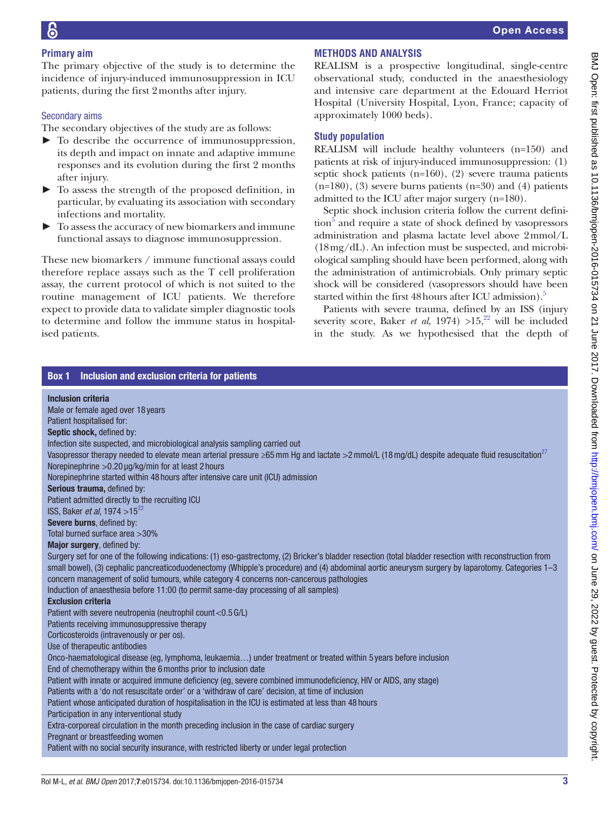# **Primary aim**

The primary objective of the study is to determine the incidence of injury-induced immunosuppression in ICU patients, during the first 2months after injury.

# Secondary aims

The secondary objectives of the study are as follows:

- $\blacktriangleright$  To describe the occurrence of immunosuppression, its depth and impact on innate and adaptive immune responses and its evolution during the first 2 months after injury.
- ► To assess the strength of the proposed definition, in particular, by evaluating its association with secondary infections and mortality.
- $\blacktriangleright$  To assess the accuracy of new biomarkers and immune functional assays to diagnose immunosuppression.

These new biomarkers / immune functional assays could therefore replace assays such as the T cell proliferation assay, the current protocol of which is not suited to the routine management of ICU patients. We therefore expect to provide data to validate simpler diagnostic tools to determine and follow the immune status in hospitalised patients.

# **Methods and analysis**

REALISM is a prospective longitudinal, single-centre observational study, conducted in the anaesthesiology and intensive care department at the Edouard Herriot Hospital (University Hospital, Lyon, France; capacity of approximately 1000 beds).

# **Study population**

REALISM will include healthy volunteers (n=150) and patients at risk of injury-induced immunosuppression: (1) septic shock patients (n=160), (2) severe trauma patients  $(n=180)$ , (3) severe burns patients  $(n=30)$  and (4) patients admitted to the ICU after major surgery (n=180).

Septic shock inclusion criteria follow the current definition<sup>5</sup> and require a state of shock defined by vasopressors administration and plasma lactate level above 2mmol/L (18mg/dL). An infection must be suspected, and microbiological sampling should have been performed, along with the administration of antimicrobials. Only primary septic shock will be considered (vasopressors should have been started within the first 48 hours after ICU admission).<sup>5</sup>

Patients with severe trauma, defined by an ISS (injury severity score, Baker *et al*, 1974)  $>15$ <sup>22</sup> will be included in the study. As we hypothesised that the depth of

# <span id="page-2-0"></span>Box 1 Inclusion and exclusion criteria for patients Inclusion criteria Male or female aged over 18 years Patient hospitalised for: Septic shock, defined by: Infection site suspected, and microbiological analysis sampling carried out Vasopressor therapy needed to elevate mean arterial pressure ≥65 mm Hg and lactate >2 mmol/L (18 mg/dL) despite adequate fluid resuscitation<sup>[27](#page-8-16)</sup> Norepinephrine >0.20 µg/kg/min for at least 2 hours Norepinephrine started within 48 hours after intensive care unit (ICU) admission Serious trauma, defined by: Patient admitted directly to the recruiting ICU ISS, Baker *et al*, 1974 >15[22](#page-8-17) Severe burns, defined by: Total burned surface area >30% Major surgery, defined by: Surgery set for one of the following indications: (1) eso-gastrectomy, (2) Bricker's bladder resection (total bladder resection with reconstruction from small bowel), (3) cephalic pancreaticoduodenectomy (Whipple's procedure) and (4) abdominal aortic aneurysm surgery by laparotomy. Categories 1-3 concern management of solid tumours, while category 4 concerns non-cancerous pathologies Induction of anaesthesia before 11:00 (to permit same-day processing of all samples) Exclusion criteria Patient with severe neutropenia (neutrophil count<0.5G/L) Patients receiving immunosuppressive therapy Corticosteroids (intravenously or per os). Use of therapeutic antibodies Onco-haematological disease (eg, lymphoma, leukaemia…) under treatment or treated within 5 years before inclusion End of chemotherapy within the 6months prior to inclusion date Patient with innate or acquired immune deficiency (eg, severe combined immunodeficiency, HIV or AIDS, any stage) Patients with a 'do not resuscitate order' or a 'withdraw of care' decision, at time of inclusion Patient whose anticipated duration of hospitalisation in the ICU is estimated at less than 48 hours Participation in any interventional study Extra-corporeal circulation in the month preceding inclusion in the case of cardiac surgery Pregnant or breastfeeding women Patient with no social security insurance, with restricted liberty or under legal protection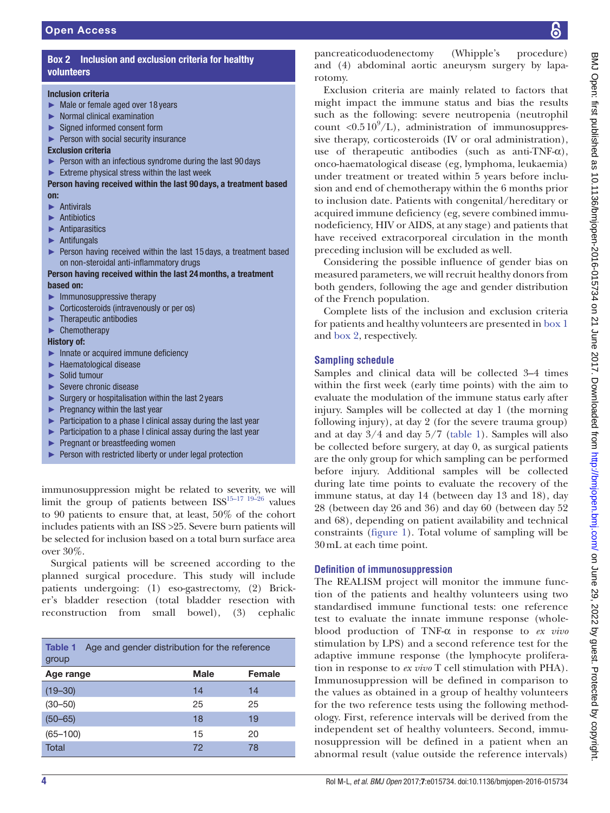# Box 2 Inclusion and exclusion criteria for healthy volunteers

#### <span id="page-3-0"></span>Inclusion criteria

- ► Male or female aged over 18 years
- ► Normal clinical examination
- ► Signed informed consent form
- ► Person with social security insurance

#### Exclusion criteria

- ► Person with an infectious syndrome during the last 90 days
- ► Extreme physical stress within the last week
- Person having received within the last 90 days, a treatment based on:
- ► Antivirals
- ► Antibiotics
- ► Antiparasitics
- ► Antifungals
- ► Person having received within the last 15 days, a treatment based on non-steroidal anti-inflammatory drugs

#### Person having received within the last 24months, a treatment based on:

- $\blacktriangleright$  Immunosuppressive therapy
- ► Corticosteroids (intravenously or per os)
- ► Therapeutic antibodies
- ► Chemotherapy

#### History of:

- ► Innate or acquired immune deficiency
- ► Haematological disease
- ► Solid tumour
- ► Severe chronic disease
- ► Surgery or hospitalisation within the last 2 years
- ► Pregnancy within the last year
- ► Participation to a phase I clinical assay during the last year
- ► Participation to a phase I clinical assay during the last year
- ► Pregnant or breastfeeding women
- Person with restricted liberty or under legal protection

immunosuppression might be related to severity, we will limit the group of patients between  $ISS^{15-17}$  19-26 values to 90 patients to ensure that, at least, 50% of the cohort includes patients with an ISS >25. Severe burn patients will be selected for inclusion based on a total burn surface area over 30%.

Surgical patients will be screened according to the planned surgical procedure. This study will include patients undergoing: (1) eso-gastrectomy, (2) Bricker's bladder resection (total bladder resection with reconstruction from small bowel), (3) cephalic

<span id="page-3-1"></span>

| Age and gender distribution for the reference<br>Table 1<br>group |             |        |
|-------------------------------------------------------------------|-------------|--------|
| Age range                                                         | <b>Male</b> | Female |
| $(19 - 30)$                                                       | 14          | 14     |
| $(30 - 50)$                                                       | 25          | 25     |
| $(50 - 65)$                                                       | 18          | 19     |
| $(65 - 100)$                                                      | 15          | 20     |
| Total                                                             | 72          | 78     |

pancreaticoduodenectomy (Whipple's procedure) and (4) abdominal aortic aneurysm surgery by laparotomy.

Exclusion criteria are mainly related to factors that might impact the immune status and bias the results such as the following: severe neutropenia (neutrophil count <0.510 $^9$ /L), administration of immunosuppressive therapy, corticosteroids (IV or oral administration), use of the rapeutic antibodies (such as anti-TNF- $\alpha$ ), onco-haematological disease (eg, lymphoma, leukaemia) under treatment or treated within 5 years before inclusion and end of chemotherapy within the 6 months prior to inclusion date. Patients with congenital/hereditary or acquired immune deficiency (eg, severe combined immunodeficiency, HIV or AIDS, at any stage) and patients that have received extracorporeal circulation in the month preceding inclusion will be excluded as well.

Considering the possible influence of gender bias on measured parameters, we will recruit healthy donors from both genders, following the age and gender distribution of the French population.

Complete lists of the inclusion and exclusion criteria for patients and healthy volunteers are presented in [box](#page-2-0) 1 and [box](#page-3-0) 2, respectively.

# **Sampling schedule**

Samples and clinical data will be collected 3–4 times within the first week (early time points) with the aim to evaluate the modulation of the immune status early after injury. Samples will be collected at day 1 (the morning following injury), at day 2 (for the severe trauma group) and at day 3/4 and day 5/7 ([table](#page-3-1) 1). Samples will also be collected before surgery, at day 0, as surgical patients are the only group for which sampling can be performed before injury. Additional samples will be collected during late time points to evaluate the recovery of the immune status, at day 14 (between day 13 and 18), day 28 (between day 26 and 36) and day 60 (between day 52 and 68), depending on patient availability and technical constraints ([figure](#page-4-0) 1). Total volume of sampling will be 30mL at each time point.

# **Definition of immunosuppression**

The REALISM project will monitor the immune function of the patients and healthy volunteers using two standardised immune functional tests: one reference test to evaluate the innate immune response (wholeblood production of TNF-α in response to *ex vivo* stimulation by LPS) and a second reference test for the adaptive immune response (the lymphocyte proliferation in response to *ex vivo* T cell stimulation with PHA). Immunosuppression will be defined in comparison to the values as obtained in a group of healthy volunteers for the two reference tests using the following methodology. First, reference intervals will be derived from the independent set of healthy volunteers. Second, immunosuppression will be defined in a patient when an abnormal result (value outside the reference intervals)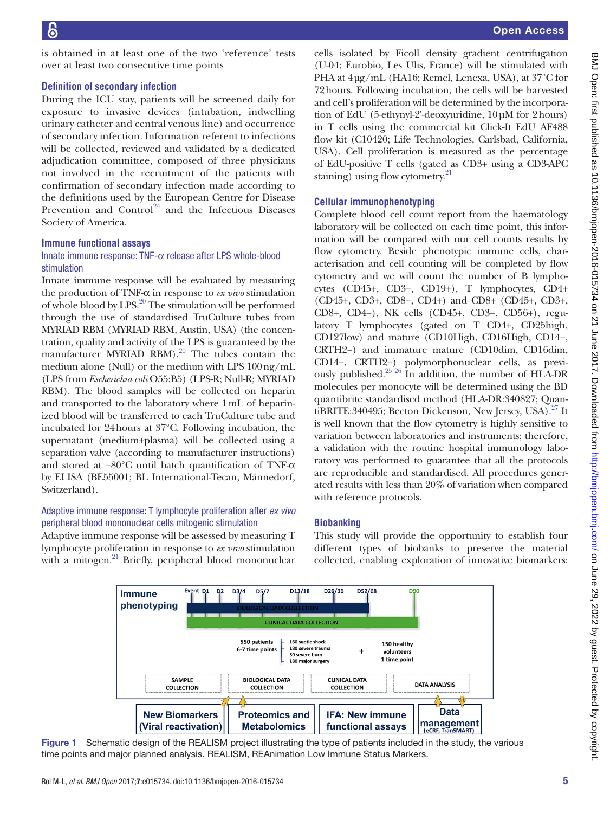is obtained in at least one of the two 'reference' tests over at least two consecutive time points

### **Definition of secondary infection**

During the ICU stay, patients will be screened daily for exposure to invasive devices (intubation, indwelling urinary catheter and central venous line) and occurrence of secondary infection. Information referent to infections will be collected, reviewed and validated by a dedicated adjudication committee, composed of three physicians not involved in the recruitment of the patients with confirmation of secondary infection made according to the definitions used by the European Centre for Disease Prevention and Control<sup>24</sup> and the Infectious Diseases Society of America.

#### **Immune functional assays**

# Innate immune response: TNF-α release after LPS whole-blood stimulation

Innate immune response will be evaluated by measuring the production of TNF-α in response to *ex vivo* stimulation of whole blood by LPS.<sup>[20](#page-8-14)</sup> The stimulation will be performed through the use of standardised TruCulture tubes from MYRIAD RBM (MYRIAD RBM, Austin, USA) (the concentration, quality and activity of the LPS is guaranteed by the manufacturer MYRIAD RBM). $^{20}$  $^{20}$  $^{20}$  The tubes contain the medium alone (Null) or the medium with LPS 100ng/mL (LPS from *Escherichia coli* O55:B5) (LPS-R; Null-R; MYRIAD RBM). The blood samples will be collected on heparin and transported to the laboratory where 1mL of heparinized blood will be transferred to each TruCulture tube and incubated for 24hours at 37°C. Following incubation, the supernatant (medium+plasma) will be collected using a separation valve (according to manufacturer instructions) and stored at −80°C until batch quantification of TNF-α by ELISA (BE55001; BL International-Tecan, Männedorf, Switzerland).

# Adaptive immune response: T lymphocyte proliferation after *ex vivo* peripheral blood mononuclear cells mitogenic stimulation

Adaptive immune response will be assessed by measuring T lymphocyte proliferation in response to *ex vivo* stimulation with a mitogen. $^{21}$  Briefly, peripheral blood mononuclear

cells isolated by Ficoll density gradient centrifugation (U-04; Eurobio, Les Ulis, France) will be stimulated with PHA at 4µg/mL (HA16; Remel, Lenexa, USA), at 37°C for 72hours. Following incubation, the cells will be harvested and cell's proliferation will be determined by the incorporation of EdU (5-ethynyl-2'-deoxyuridine, 10µM for 2hours) in T cells using the commercial kit Click-It EdU AF488 flow kit (C10420; Life Technologies, Carlsbad, California, USA). Cell proliferation is measured as the percentage of EdU-positive T cells (gated as CD3+ using a CD3-APC staining) using flow cytometry. $21$ 

# **Cellular immunophenotyping**

Complete blood cell count report from the haematology laboratory will be collected on each time point, this information will be compared with our cell counts results by flow cytometry. Beside phenotypic immune cells, characterisation and cell counting will be completed by flow cytometry and we will count the number of B lymphocytes (CD45+, CD3−, CD19+), T lymphocytes, CD4+ (CD45+, CD3+, CD8−, CD4+) and CD8+ (CD45+, CD3+, CD8+, CD4−), NK cells (CD45+, CD3−, CD56+), regulatory T lymphocytes (gated on T CD4+, CD25high, CD127low) and mature (CD10High, CD16High, CD14−, CRTH2−) and immature mature (CD10dim, CD16dim, CD14−, CRTH2−) polymorphonuclear cells, as previously published.<sup>25 26</sup> In addition, the number of HLA-DR molecules per monocyte will be determined using the BD quantibrite standardised method (HLA-DR:340827; Quan-tiBRITE:340495; Becton Dickenson, New Jersey, USA).<sup>[27](#page-8-16)</sup> It is well known that the flow cytometry is highly sensitive to variation between laboratories and instruments; therefore, a validation with the routine hospital immunology laboratory was performed to guarantee that all the protocols are reproducible and standardised. All procedures generated results with less than 20% of variation when compared with reference protocols.

# **Biobanking**

This study will provide the opportunity to establish four different types of biobanks to preserve the material collected, enabling exploration of innovative biomarkers:



<span id="page-4-0"></span>Figure 1 Schematic design of the REALISM project illustrating the type of patients included in the study, the various time points and major planned analysis. REALISM, REAnimation Low Immune Status Markers.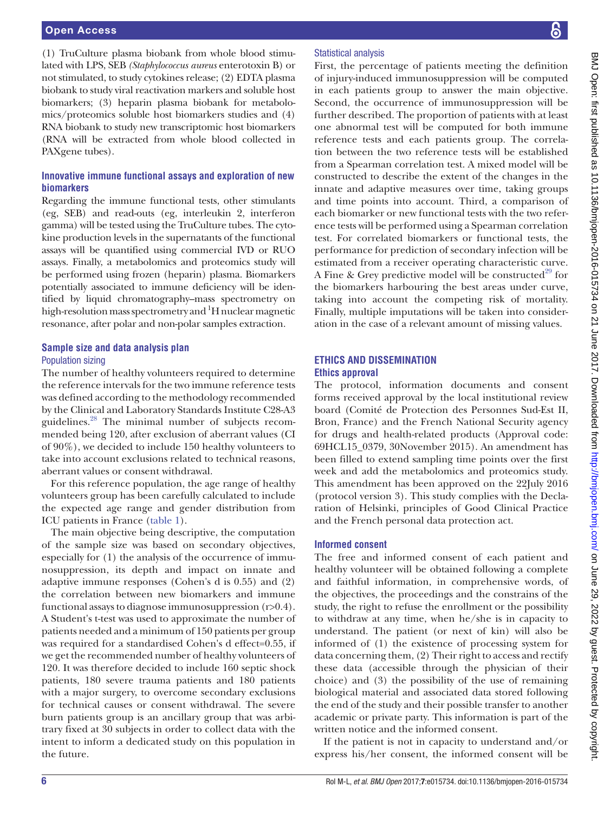(1) TruCulture plasma biobank from whole blood stimulated with LPS, SEB *(Staphylococcus aureus* enterotoxin B) or not stimulated, to study cytokines release; (2) EDTA plasma biobank to study viral reactivation markers and soluble host biomarkers; (3) heparin plasma biobank for metabolomics/proteomics soluble host biomarkers studies and (4) RNA biobank to study new transcriptomic host biomarkers (RNA will be extracted from whole blood collected in PAXgene tubes).

# **Innovative immune functional assays and exploration of new biomarkers**

Regarding the immune functional tests, other stimulants (eg, SEB) and read-outs (eg, interleukin 2, interferon gamma) will be tested using the TruCulture tubes. The cytokine production levels in the supernatants of the functional assays will be quantified using commercial IVD or RUO assays. Finally, a metabolomics and proteomics study will be performed using frozen (heparin) plasma. Biomarkers potentially associated to immune deficiency will be identified by liquid chromatography–mass spectrometry on high-resolution mass spectrometry and <sup>1</sup>H nuclear magnetic resonance, after polar and non-polar samples extraction.

# **Sample size and data analysis plan** Population sizing

The number of healthy volunteers required to determine the reference intervals for the two immune reference tests was defined according to the methodology recommended by the Clinical and Laboratory Standards Institute C28-A3 guidelines[.28](#page-8-21) The minimal number of subjects recommended being 120, after exclusion of aberrant values (CI of 90%), we decided to include 150 healthy volunteers to take into account exclusions related to technical reasons, aberrant values or consent withdrawal.

For this reference population, the age range of healthy volunteers group has been carefully calculated to include the expected age range and gender distribution from ICU patients in France ([table](#page-3-1) 1).

The main objective being descriptive, the computation of the sample size was based on secondary objectives, especially for (1) the analysis of the occurrence of immunosuppression, its depth and impact on innate and adaptive immune responses (Cohen's d is 0.55) and (2) the correlation between new biomarkers and immune functional assays to diagnose immunosuppression (r>0.4). A Student's t-test was used to approximate the number of patients needed and a minimum of 150 patients per group was required for a standardised Cohen's d effect=0.55, if we get the recommended number of healthy volunteers of 120. It was therefore decided to include 160 septic shock patients, 180 severe trauma patients and 180 patients with a major surgery, to overcome secondary exclusions for technical causes or consent withdrawal. The severe burn patients group is an ancillary group that was arbitrary fixed at 30 subjects in order to collect data with the intent to inform a dedicated study on this population in the future.

# Statistical analysis

First, the percentage of patients meeting the definition of injury-induced immunosuppression will be computed in each patients group to answer the main objective. Second, the occurrence of immunosuppression will be further described. The proportion of patients with at least one abnormal test will be computed for both immune reference tests and each patients group. The correlation between the two reference tests will be established from a Spearman correlation test. A mixed model will be constructed to describe the extent of the changes in the innate and adaptive measures over time, taking groups and time points into account. Third, a comparison of each biomarker or new functional tests with the two reference tests will be performed using a Spearman correlation test. For correlated biomarkers or functional tests, the performance for prediction of secondary infection will be estimated from a receiver operating characteristic curve. A Fine & Grey predictive model will be constructed<sup>29</sup> for the biomarkers harbouring the best areas under curve, taking into account the competing risk of mortality. Finally, multiple imputations will be taken into consideration in the case of a relevant amount of missing values.

# **Ethics and dissemination Ethics approval**

The protocol, information documents and consent forms received approval by the local institutional review board (Comité de Protection des Personnes Sud-Est II, Bron, France) and the French National Security agency for drugs and health-related products (Approval code: 69HCL15\_0379, 30November 2015). An amendment has been filled to extend sampling time points over the first week and add the metabolomics and proteomics study. This amendment has been approved on the 22July 2016 (protocol version 3). This study complies with the Declaration of Helsinki, principles of Good Clinical Practice and the French personal data protection act.

# **Informed consent**

The free and informed consent of each patient and healthy volunteer will be obtained following a complete and faithful information, in comprehensive words, of the objectives, the proceedings and the constrains of the study, the right to refuse the enrollment or the possibility to withdraw at any time, when he/she is in capacity to understand. The patient (or next of kin) will also be informed of (1) the existence of processing system for data concerning them, (2) Their right to access and rectify these data (accessible through the physician of their choice) and (3) the possibility of the use of remaining biological material and associated data stored following the end of the study and their possible transfer to another academic or private party. This information is part of the written notice and the informed consent.

If the patient is not in capacity to understand and/or express his/her consent, the informed consent will be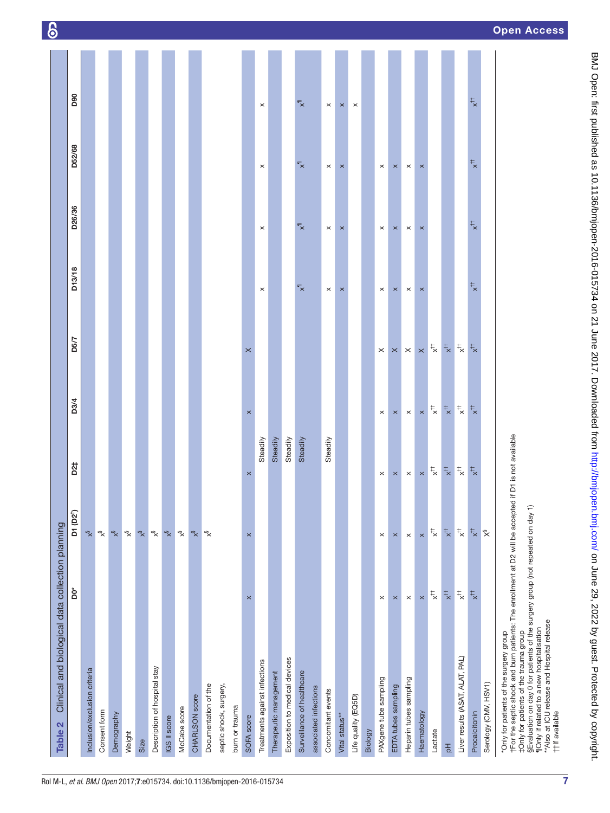| Clinical and biological data collection planning<br>Table 2                                                                                                                                                                                                                                                                                                                           |                          |                                       |                          |                                                      |                                                      |                         |                         |                         |                         | <u> ၆</u>          |
|---------------------------------------------------------------------------------------------------------------------------------------------------------------------------------------------------------------------------------------------------------------------------------------------------------------------------------------------------------------------------------------|--------------------------|---------------------------------------|--------------------------|------------------------------------------------------|------------------------------------------------------|-------------------------|-------------------------|-------------------------|-------------------------|--------------------|
|                                                                                                                                                                                                                                                                                                                                                                                       | Ď                        | D1 (D2 <sup>1</sup> )                 | D <sub>2‡</sub>          | D3/4                                                 | D5/7                                                 | D13/18                  | D26/36                  | D52/68                  | D90                     |                    |
| Inclusion/exclusion criteria                                                                                                                                                                                                                                                                                                                                                          |                          | $\stackrel{\otimes}{\times}$          |                          |                                                      |                                                      |                         |                         |                         |                         |                    |
| Consent form                                                                                                                                                                                                                                                                                                                                                                          |                          | $\stackrel{\otimes}{\times}$          |                          |                                                      |                                                      |                         |                         |                         |                         |                    |
| Demography                                                                                                                                                                                                                                                                                                                                                                            |                          | $\tilde{\mathbf{x}}$                  |                          |                                                      |                                                      |                         |                         |                         |                         |                    |
| Weight                                                                                                                                                                                                                                                                                                                                                                                |                          | $\stackrel{\text{\tiny{op}}}{\times}$ |                          |                                                      |                                                      |                         |                         |                         |                         |                    |
| Size                                                                                                                                                                                                                                                                                                                                                                                  |                          | $\stackrel{\circ}{\times}$            |                          |                                                      |                                                      |                         |                         |                         |                         |                    |
| Description of hospital stay                                                                                                                                                                                                                                                                                                                                                          |                          | $\stackrel{\otimes}{\times}$          |                          |                                                      |                                                      |                         |                         |                         |                         |                    |
| IGS II score                                                                                                                                                                                                                                                                                                                                                                          |                          | $\ddot{\mathbf{x}}$                   |                          |                                                      |                                                      |                         |                         |                         |                         |                    |
| McCabe score                                                                                                                                                                                                                                                                                                                                                                          |                          | $\stackrel{\otimes}{\times}$          |                          |                                                      |                                                      |                         |                         |                         |                         |                    |
| <b>CHARLSON</b> score                                                                                                                                                                                                                                                                                                                                                                 |                          | $\ddot{\mathbf{x}}$                   |                          |                                                      |                                                      |                         |                         |                         |                         |                    |
| Documentation of the                                                                                                                                                                                                                                                                                                                                                                  |                          | $\stackrel{\otimes}{\times}$          |                          |                                                      |                                                      |                         |                         |                         |                         |                    |
| septic shock, surgery,                                                                                                                                                                                                                                                                                                                                                                |                          |                                       |                          |                                                      |                                                      |                         |                         |                         |                         |                    |
| burn or trauma                                                                                                                                                                                                                                                                                                                                                                        |                          |                                       |                          |                                                      |                                                      |                         |                         |                         |                         |                    |
| SOFA score                                                                                                                                                                                                                                                                                                                                                                            | $\times$                 | $\times$                              | $\pmb{\times}$           | $\times$                                             | $\times$                                             |                         |                         |                         |                         |                    |
| Treatments against infections                                                                                                                                                                                                                                                                                                                                                         |                          |                                       | Steadily                 |                                                      |                                                      | $\times$                | $\times$                | $\times$                | $\times$                |                    |
| Therapeutic management                                                                                                                                                                                                                                                                                                                                                                |                          |                                       | Steadily                 |                                                      |                                                      |                         |                         |                         |                         |                    |
| Exposition to medical devices                                                                                                                                                                                                                                                                                                                                                         |                          |                                       | Steadily                 |                                                      |                                                      |                         |                         |                         |                         |                    |
| Surveillance of healthcare                                                                                                                                                                                                                                                                                                                                                            |                          |                                       | Steadily                 |                                                      |                                                      | $\overline{\mathbf{x}}$ | $\overline{\mathbf{x}}$ | $\overline{\mathbf{r}}$ | $\overline{\mathbf{x}}$ |                    |
| associated infections                                                                                                                                                                                                                                                                                                                                                                 |                          |                                       |                          |                                                      |                                                      |                         |                         |                         |                         |                    |
| Concomitant events                                                                                                                                                                                                                                                                                                                                                                    |                          |                                       | Steadily                 |                                                      |                                                      | $\times$                | $\times$                | $\times$                | $\times$                |                    |
| Vital status**                                                                                                                                                                                                                                                                                                                                                                        |                          |                                       |                          |                                                      |                                                      | $\pmb{\times}$          | $\pmb{\times}$          | $\pmb{\times}$          | $\times$                |                    |
| Life quality (EQ5D)                                                                                                                                                                                                                                                                                                                                                                   |                          |                                       |                          |                                                      |                                                      |                         |                         |                         | $\times$                |                    |
| Biology                                                                                                                                                                                                                                                                                                                                                                               |                          |                                       |                          |                                                      |                                                      |                         |                         |                         |                         |                    |
| PAXgene tube sampling                                                                                                                                                                                                                                                                                                                                                                 | $\times$                 | $\times$                              | $\times$                 | $\times$                                             | $\times$                                             | $\times$                | $\times$                | $\times$                |                         |                    |
| EDTA tubes sampling                                                                                                                                                                                                                                                                                                                                                                   | $\times$                 | $\times$                              | $\times$                 | $\times$                                             | $\times$                                             | $\times$                | $\times$                | $\times$                |                         |                    |
| Heparin tubes sampling                                                                                                                                                                                                                                                                                                                                                                | $\times$                 | $\times$                              | $\,\times\,$             | $\times$                                             | $\times$ $\times$                                    | $\times$                | $\times$                | $\times$                |                         |                    |
| Haematology                                                                                                                                                                                                                                                                                                                                                                           | $\pmb{\times}$           | $\pmb{\times}$                        | $\times$                 | $\times$                                             |                                                      | $\pmb{\times}$          | $\pmb{\times}$          | $\pmb{\times}$          |                         |                    |
| Lactate                                                                                                                                                                                                                                                                                                                                                                               | $\stackrel{\pm}{\times}$ | $\overline{\phantom{a}}^{\ddagger}$   | $\stackrel{\pm}{\star}$  | $\stackrel{\pm}{\times}$                             | $\stackrel{\pm}{\times}$                             |                         |                         |                         |                         |                    |
| $\frac{1}{\Delta}$                                                                                                                                                                                                                                                                                                                                                                    | $\overline{a}^{\pm}$     | $\overline{a}^{\pm}$                  | $\stackrel{\pm}{\times}$ | $\stackrel{\text{\tiny{+}}}{\times}$                 | $\stackrel{\text{\tiny{+}}}{\times}$                 |                         |                         |                         |                         |                    |
| Liver results (ASAT, ALAT, PAL)                                                                                                                                                                                                                                                                                                                                                       | $\star^*$                | $\overline{a}^{\pm}$                  | $\vec{z}$                | $\stackrel{\pm}{\phantom{}_{\mathbf{x}}}\phantom{.}$ | $\stackrel{\pm}{\phantom{}_{\mathbf{x}}}\phantom{.}$ |                         |                         |                         |                         |                    |
| Procalcitonin                                                                                                                                                                                                                                                                                                                                                                         | $\overline{x}$           | $\stackrel{\pm}{\times}$              | $\overline{x}$           | $\overline{x}$                                       | $\overline{x}$                                       | $\overline{x}$          | $\overline{x}$          | $\overline{\mathbf{r}}$ | $\overline{x}$          |                    |
| Serology (CMV, HSV1)                                                                                                                                                                                                                                                                                                                                                                  |                          | $\tilde{\mathbf{x}}$                  |                          |                                                      |                                                      |                         |                         |                         |                         |                    |
| *Only for patients of the surgery group<br>†For the septic shock and burn patients: The enrollment at D2 will be accepted if D1<br>‡Only for patients of the trauma group<br>§Evaluation on day 0 for patients of the surgery group (not repeated on day 1)<br>** Also at ICU release and Hospital release<br>TOnly if related to a new hospitalisation<br>t <sup>†</sup> f available |                          |                                       | is not available         |                                                      |                                                      |                         |                         |                         |                         | <b>Open Access</b> |

<span id="page-6-0"></span>Rol M-L, *et al*. *BMJ Open* 2017; 7:e015734. doi:10.1136/bmjopen-2016-015734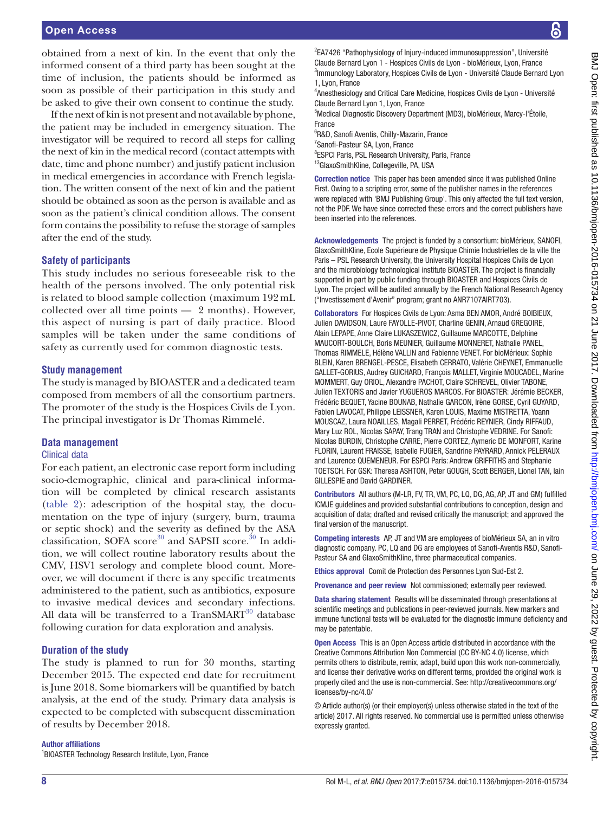# Open Access

obtained from a next of kin. In the event that only the informed consent of a third party has been sought at the time of inclusion, the patients should be informed as soon as possible of their participation in this study and be asked to give their own consent to continue the study.

If the next of kin is not present and not available by phone, the patient may be included in emergency situation. The investigator will be required to record all steps for calling the next of kin in the medical record (contact attempts with date, time and phone number) and justify patient inclusion in medical emergencies in accordance with French legislation. The written consent of the next of kin and the patient should be obtained as soon as the person is available and as soon as the patient's clinical condition allows. The consent form contains the possibility to refuse the storage of samples after the end of the study.

# **Safety of participants**

This study includes no serious foreseeable risk to the health of the persons involved. The only potential risk is related to blood sample collection (maximum 192 mL collected over all time points — 2 months). However, this aspect of nursing is part of daily practice. Blood samples will be taken under the same conditions of safety as currently used for common diagnostic tests.

#### **Study management**

The study is managed by BIOASTER and a dedicated team composed from members of all the consortium partners. The promoter of the study is the Hospices Civils de Lyon. The principal investigator is Dr Thomas Rimmelé.

#### **Data management**

#### Clinical data

For each patient, an electronic case report form including socio-demographic, clinical and para-clinical information will be completed by clinical research assistants [\(table](#page-6-0) 2): adescription of the hospital stay, the documentation on the type of injury (surgery, burn, trauma or septic shock) and the severity as defined by the ASA classification, SOFA score<sup>[30](#page-8-23)</sup> and SAPSII score.<sup>30</sup> In addition, we will collect routine laboratory results about the CMV, HSV1 serology and complete blood count. Moreover, we will document if there is any specific treatments administered to the patient, such as antibiotics, exposure to invasive medical devices and secondary infections. All data will be transferred to a  $TransMART<sup>30</sup>$  database following curation for data exploration and analysis.

#### **Duration of the study**

The study is planned to run for 30 months, starting December 2015. The expected end date for recruitment is June 2018. Some biomarkers will be quantified by batch analysis, at the end of the study. Primary data analysis is expected to be completed with subsequent dissemination of results by December 2018.

#### Author affiliations

<sup>1</sup>BIOASTER Technology Research Institute, Lyon, France

<sup>2</sup>EA7426 "Pathophysiology of Injury-induced immunosuppression", Université Claude Bernard Lyon 1 - Hospices Civils de Lyon - bioMérieux, Lyon, France <sup>3</sup>Immunology Laboratory, Hospices Civils de Lyon - Université Claude Bernard Lyon 1, Lyon, France

<sup>4</sup> Anesthesiology and Critical Care Medicine, Hospices Civils de Lyon - Université Claude Bernard Lyon 1, Lyon, France

<sup>5</sup>Medical Diagnostic Discovery Department (MD3), bioMérieux, Marcy-l'Étoile, France

6 R&D, Sanofi Aventis, Chilly-Mazarin, France

7 Sanofi-Pasteur SA, Lyon, France

<sup>8</sup>ESPCI Paris, PSL Research University, Paris, France 13GlaxoSmithKline, Collegeville, PA, USA

Correction notice This paper has been amended since it was published Online First. Owing to a scripting error, some of the publisher names in the references were replaced with 'BMJ Publishing Group'. This only affected the full text version, not the PDF. We have since corrected these errors and the correct publishers have been inserted into the references.

Acknowledgements The project is funded by a consortium: bioMérieux, SANOFI, GlaxoSmithKline, Ecole Supérieure de Physique Chimie Industrielles de la ville the Paris – PSL Research University, the University Hospital Hospices Civils de Lyon and the microbiology technological institute BIOASTER. The project is financially supported in part by public funding through BIOASTER and Hospices Civils de Lyon. The project will be audited annually by the French National Research Agency ("Investissement d'Avenir" program; grant no ANR7107AIRT703).

Collaborators For Hospices Civils de Lyon: Asma BEN AMOR, André BOIBIEUX, Julien DAVIDSON, Laure FAYOLLE-PIVOT, Charline GENIN, Arnaud GREGOIRE, Alain LEPAPE, Anne Claire LUKASZEWICZ, Guillaume MARCOTTE, Delphine MAUCORT-BOULCH, Boris MEUNIER, Guillaume MONNERET, Nathalie PANEL, Thomas RIMMELE, Hélène VALLIN and Fabienne VENET. For bioMérieux: Sophie BLEIN, Karen BRENGEL-PESCE, Elisabeth CERRATO, Valérie CHEYNET, Emmanuelle GALLET-GORIUS, Audrey GUICHARD, François MALLET, Virginie MOUCADEL, Marine MOMMERT, Guy ORIOL, Alexandre PACHOT, Claire SCHREVEL, Olivier TABONE, Julien TEXTORIS and Javier YUGUEROS MARCOS. For BIOASTER: Jérémie BECKER, Frédéric BEQUET, Yacine BOUNAB, Nathalie GARCON, Irène GORSE, Cyril GUYARD, Fabien LAVOCAT, Philippe LEISSNER, Karen LOUIS, Maxime MISTRETTA, Yoann MOUSCAZ, Laura NOAILLES, Magali PERRET, Frédéric REYNIER, Cindy RIFFAUD, Mary Luz ROL, Nicolas SAPAY, Trang TRAN and Christophe VEDRINE. For Sanofi: Nicolas BURDIN, Christophe CARRE, Pierre CORTEZ, Aymeric DE MONFORT, Karine FLORIN, Laurent FRAISSE, Isabelle FUGIER, Sandrine PAYRARD, Annick PELERAUX and Laurence QUEMENEUR. For ESPCI Paris: Andrew GRIFFITHS and Stephanie TOETSCH. For GSK: Theresa ASHTON, Peter GOUGH, Scott BERGER, Lionel TAN, Iain GILLESPIE and David GARDINER.

Contributors All authors (M-LR, FV, TR, VM, PC, LQ, DG, AG, AP, JT and GM) fulfilled ICMJE guidelines and provided substantial contributions to conception, design and acquisition of data; drafted and revised critically the manuscript; and approved the final version of the manuscript.

Competing interests AP, JT and VM are employees of bioMérieux SA, an in vitro diagnostic company. PC, LQ and DG are employees of Sanofi-Aventis R&D, Sanofi-Pasteur SA and GlaxoSmithKline, three pharmaceutical companies.

Ethics approval Comit de Protection des Personnes Lyon Sud-Est 2.

Provenance and peer review Not commissioned; externally peer reviewed.

Data sharing statement Results will be disseminated through presentations at scientific meetings and publications in peer-reviewed journals. New markers and immune functional tests will be evaluated for the diagnostic immune deficiency and may be patentable.

Open Access This is an Open Access article distributed in accordance with the Creative Commons Attribution Non Commercial (CC BY-NC 4.0) license, which permits others to distribute, remix, adapt, build upon this work non-commercially, and license their derivative works on different terms, provided the original work is properly cited and the use is non-commercial. See: [http://creativecommons.org/](http://creativecommons.org/licenses/by-nc/4.0/) [licenses/by-nc/4.0/](http://creativecommons.org/licenses/by-nc/4.0/)

© Article author(s) (or their employer(s) unless otherwise stated in the text of the article) 2017. All rights reserved. No commercial use is permitted unless otherwise expressly granted.